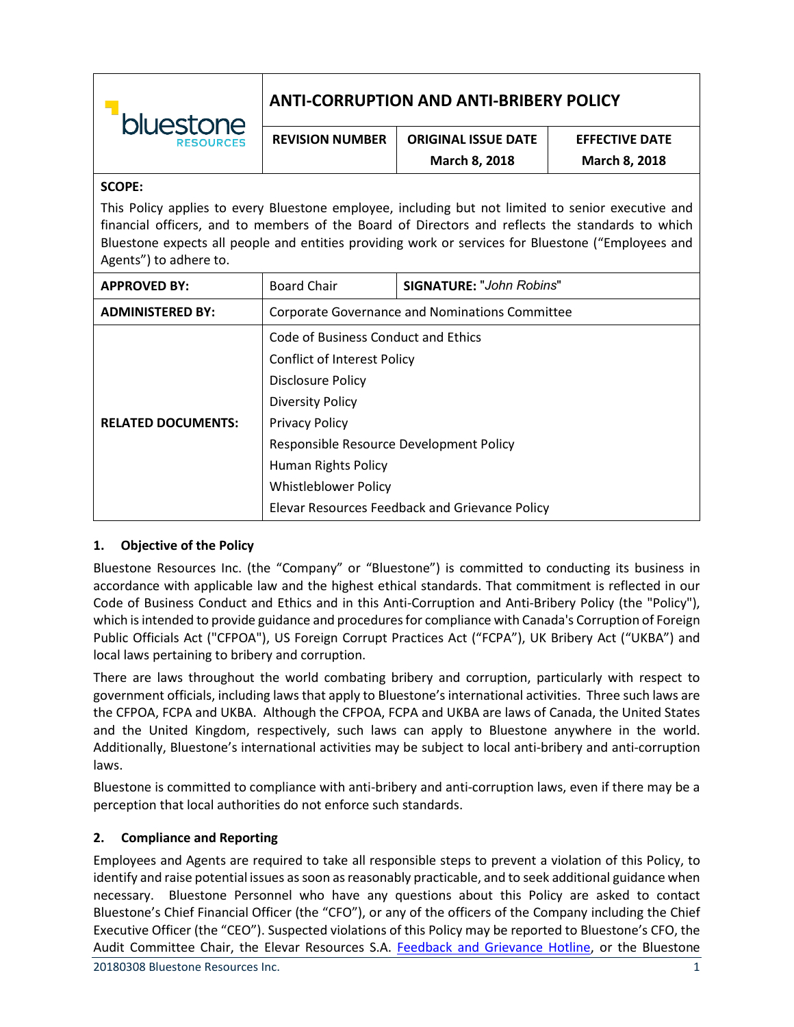| bluestone<br><b>RESOURCES</b> | ANTI-CORRUPTION AND ANTI-BRIBERY POLICY |                            |                       |
|-------------------------------|-----------------------------------------|----------------------------|-----------------------|
|                               | <b>REVISION NUMBER</b>                  | <b>ORIGINAL ISSUE DATE</b> | <b>EFFECTIVE DATE</b> |

#### **SCOPE:**

This Policy applies to every Bluestone employee, including but not limited to senior executive and financial officers, and to members of the Board of Directors and reflects the standards to which Bluestone expects all people and entities providing work or services for Bluestone ("Employees and Agents") to adhere to.

**March 8, 2018**

**March 8, 2018**

| <b>APPROVED BY:</b>       | <b>Board Chair</b>                             | <b>SIGNATURE: "John Robins"</b> |
|---------------------------|------------------------------------------------|---------------------------------|
| <b>ADMINISTERED BY:</b>   | Corporate Governance and Nominations Committee |                                 |
|                           | Code of Business Conduct and Ethics            |                                 |
|                           | <b>Conflict of Interest Policy</b>             |                                 |
|                           | <b>Disclosure Policy</b>                       |                                 |
|                           | <b>Diversity Policy</b>                        |                                 |
| <b>RELATED DOCUMENTS:</b> | <b>Privacy Policy</b>                          |                                 |
|                           | Responsible Resource Development Policy        |                                 |
|                           | Human Rights Policy                            |                                 |
|                           | Whistleblower Policy                           |                                 |
|                           | Elevar Resources Feedback and Grievance Policy |                                 |

### **1. Objective of the Policy**

Bluestone Resources Inc. (the "Company" or "Bluestone") is committed to conducting its business in accordance with applicable law and the highest ethical standards. That commitment is reflected in our Code of Business Conduct and Ethics and in this Anti-Corruption and Anti-Bribery Policy (the "Policy"), which is intended to provide guidance and procedures for compliance with Canada's Corruption of Foreign Public Officials Act ("CFPOA"), US Foreign Corrupt Practices Act ("FCPA"), UK Bribery Act ("UKBA") and local laws pertaining to bribery and corruption.

There are laws throughout the world combating bribery and corruption, particularly with respect to government officials, including laws that apply to Bluestone's international activities. Three such laws are the CFPOA, FCPA and UKBA. Although the CFPOA, FCPA and UKBA are laws of Canada, the United States and the United Kingdom, respectively, such laws can apply to Bluestone anywhere in the world. Additionally, Bluestone's international activities may be subject to local anti-bribery and anti-corruption laws.

Bluestone is committed to compliance with anti-bribery and anti-corruption laws, even if there may be a perception that local authorities do not enforce such standards.

### **2. Compliance and Reporting**

Employees and Agents are required to take all responsible steps to prevent a violation of this Policy, to identify and raise potential issues as soon as reasonably practicable, and to seek additional guidance when necessary. Bluestone Personnel who have any questions about this Policy are asked to contact Bluestone's Chief Financial Officer (the "CFO"), or any of the officers of the Company including the Chief Executive Officer (the "CEO"). Suspected violations of this Policy may be reported to Bluestone's CFO, the Audit Committee Chair, the Elevar Resources S.A. [Feedback and Grievance Hotline,](http://www.integritycounts.ca/org/cerroblanco) or the Bluestone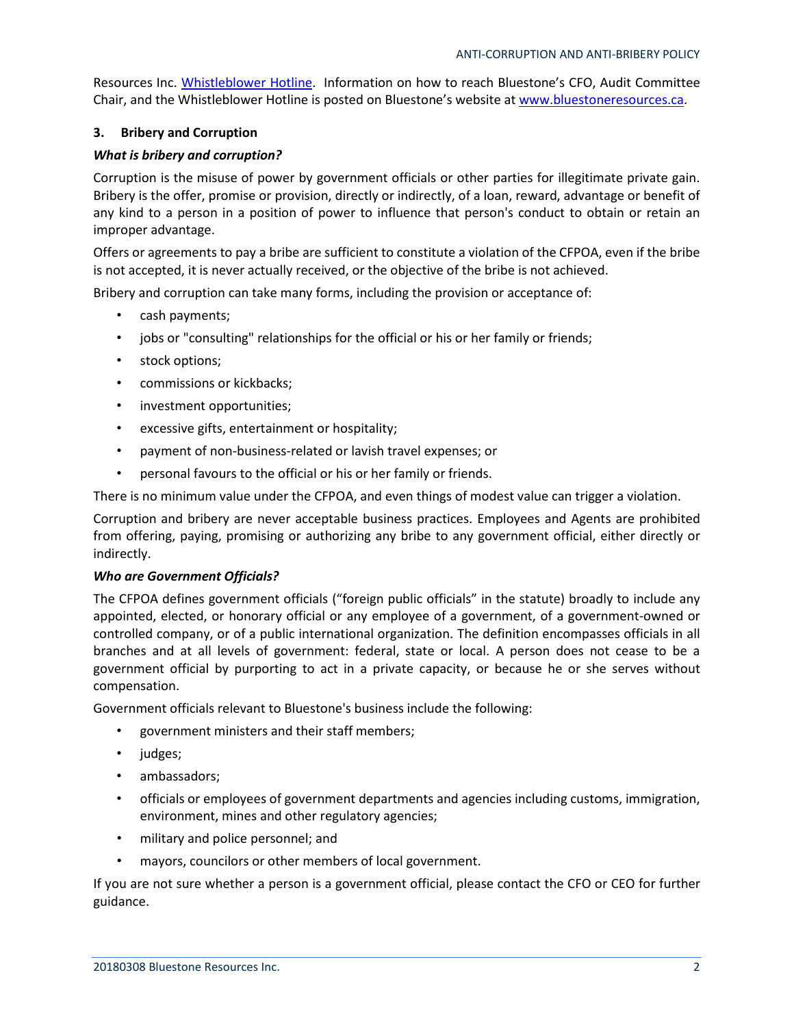Resources Inc. [Whistleblower Hotline.](http://www.integritycounts.ca/org/bluestone) Information on how to reach Bluestone's CFO, Audit Committee Chair, and the Whistleblower Hotline is posted on Bluestone's website at [www.bluestoneresources.ca.](http://www.bluestoneresources.ca/)

### **3. Bribery and Corruption**

### *What is bribery and corruption?*

Corruption is the misuse of power by government officials or other parties for illegitimate private gain. Bribery is the offer, promise or provision, directly or indirectly, of a loan, reward, advantage or benefit of any kind to a person in a position of power to influence that person's conduct to obtain or retain an improper advantage.

Offers or agreements to pay a bribe are sufficient to constitute a violation of the CFPOA, even if the bribe is not accepted, it is never actually received, or the objective of the bribe is not achieved.

Bribery and corruption can take many forms, including the provision or acceptance of:

- cash payments;
- jobs or "consulting" relationships for the official or his or her family or friends;
- stock options;
- commissions or kickbacks;
- investment opportunities;
- excessive gifts, entertainment or hospitality;
- payment of non-business-related or lavish travel expenses; or
- personal favours to the official or his or her family or friends.

There is no minimum value under the CFPOA, and even things of modest value can trigger a violation.

Corruption and bribery are never acceptable business practices. Employees and Agents are prohibited from offering, paying, promising or authorizing any bribe to any government official, either directly or indirectly.

### *Who are Government Officials?*

The CFPOA defines government officials ("foreign public officials" in the statute) broadly to include any appointed, elected, or honorary official or any employee of a government, of a government-owned or controlled company, or of a public international organization. The definition encompasses officials in all branches and at all levels of government: federal, state or local. A person does not cease to be a government official by purporting to act in a private capacity, or because he or she serves without compensation.

Government officials relevant to Bluestone's business include the following:

- government ministers and their staff members;
- judges;
- ambassadors;
- officials or employees of government departments and agencies including customs, immigration, environment, mines and other regulatory agencies;
- military and police personnel; and
- mayors, councilors or other members of local government.

If you are not sure whether a person is a government official, please contact the CFO or CEO for further guidance.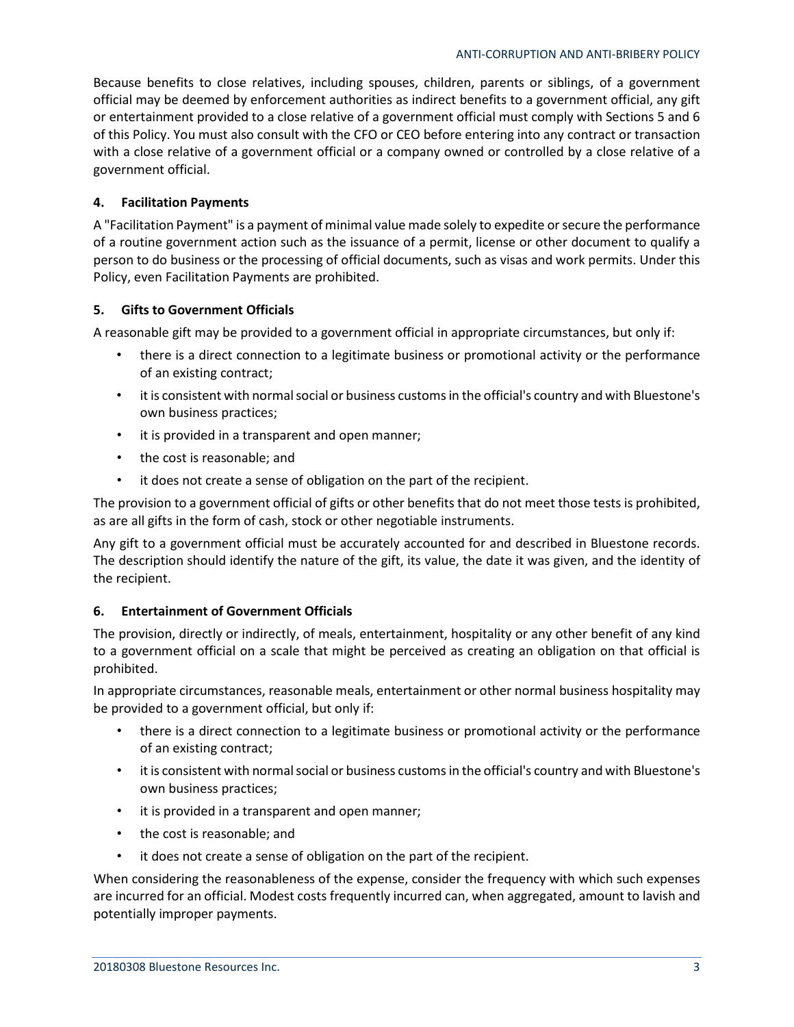Because benefits to close relatives, including spouses, children, parents or siblings, of a government official may be deemed by enforcement authorities as indirect benefits to a government official, any gift or entertainment provided to a close relative of a government official must comply with Sections 5 and 6 of this Policy. You must also consult with the CFO or CEO before entering into any contract or transaction with a close relative of a government official or a company owned or controlled by a close relative of a government official.

## **4. Facilitation Payments**

A "Facilitation Payment" is a payment of minimal value made solely to expedite or secure the performance of a routine government action such as the issuance of a permit, license or other document to qualify a person to do business or the processing of official documents, such as visas and work permits. Under this Policy, even Facilitation Payments are prohibited.

## **5. Gifts to Government Officials**

A reasonable gift may be provided to a government official in appropriate circumstances, but only if:

- there is a direct connection to a legitimate business or promotional activity or the performance of an existing contract;
- it is consistent with normal social or business customs in the official's country and with Bluestone's own business practices;
- it is provided in a transparent and open manner;
- the cost is reasonable; and
- it does not create a sense of obligation on the part of the recipient.

The provision to a government official of gifts or other benefits that do not meet those tests is prohibited, as are all gifts in the form of cash, stock or other negotiable instruments.

Any gift to a government official must be accurately accounted for and described in Bluestone records. The description should identify the nature of the gift, its value, the date it was given, and the identity of the recipient.

### **6. Entertainment of Government Officials**

The provision, directly or indirectly, of meals, entertainment, hospitality or any other benefit of any kind to a government official on a scale that might be perceived as creating an obligation on that official is prohibited.

In appropriate circumstances, reasonable meals, entertainment or other normal business hospitality may be provided to a government official, but only if:

- there is a direct connection to a legitimate business or promotional activity or the performance of an existing contract;
- it is consistent with normal social or business customs in the official's country and with Bluestone's own business practices;
- it is provided in a transparent and open manner;
- the cost is reasonable; and
- it does not create a sense of obligation on the part of the recipient.

When considering the reasonableness of the expense, consider the frequency with which such expenses are incurred for an official. Modest costs frequently incurred can, when aggregated, amount to lavish and potentially improper payments.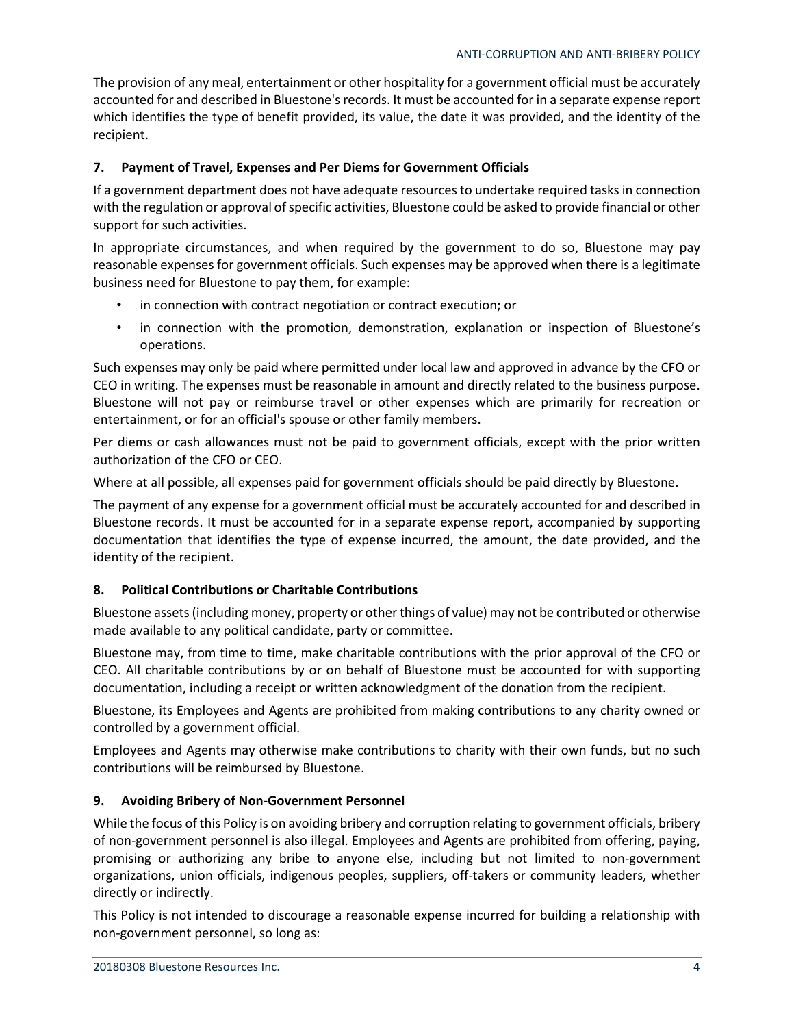The provision of any meal, entertainment or other hospitality for a government official must be accurately accounted for and described in Bluestone's records. It must be accounted for in a separate expense report which identifies the type of benefit provided, its value, the date it was provided, and the identity of the recipient.

## **7. Payment of Travel, Expenses and Per Diems for Government Officials**

If a government department does not have adequate resources to undertake required tasks in connection with the regulation or approval of specific activities, Bluestone could be asked to provide financial or other support for such activities.

In appropriate circumstances, and when required by the government to do so, Bluestone may pay reasonable expenses for government officials. Such expenses may be approved when there is a legitimate business need for Bluestone to pay them, for example:

- in connection with contract negotiation or contract execution; or
- in connection with the promotion, demonstration, explanation or inspection of Bluestone's operations.

Such expenses may only be paid where permitted under local law and approved in advance by the CFO or CEO in writing. The expenses must be reasonable in amount and directly related to the business purpose. Bluestone will not pay or reimburse travel or other expenses which are primarily for recreation or entertainment, or for an official's spouse or other family members.

Per diems or cash allowances must not be paid to government officials, except with the prior written authorization of the CFO or CEO.

Where at all possible, all expenses paid for government officials should be paid directly by Bluestone.

The payment of any expense for a government official must be accurately accounted for and described in Bluestone records. It must be accounted for in a separate expense report, accompanied by supporting documentation that identifies the type of expense incurred, the amount, the date provided, and the identity of the recipient.

### **8. Political Contributions or Charitable Contributions**

Bluestone assets (including money, property or other things of value) may not be contributed or otherwise made available to any political candidate, party or committee.

Bluestone may, from time to time, make charitable contributions with the prior approval of the CFO or CEO. All charitable contributions by or on behalf of Bluestone must be accounted for with supporting documentation, including a receipt or written acknowledgment of the donation from the recipient.

Bluestone, its Employees and Agents are prohibited from making contributions to any charity owned or controlled by a government official.

Employees and Agents may otherwise make contributions to charity with their own funds, but no such contributions will be reimbursed by Bluestone.

### **9. Avoiding Bribery of Non-Government Personnel**

While the focus of this Policy is on avoiding bribery and corruption relating to government officials, bribery of non-government personnel is also illegal. Employees and Agents are prohibited from offering, paying, promising or authorizing any bribe to anyone else, including but not limited to non-government organizations, union officials, indigenous peoples, suppliers, off-takers or community leaders, whether directly or indirectly.

This Policy is not intended to discourage a reasonable expense incurred for building a relationship with non-government personnel, so long as: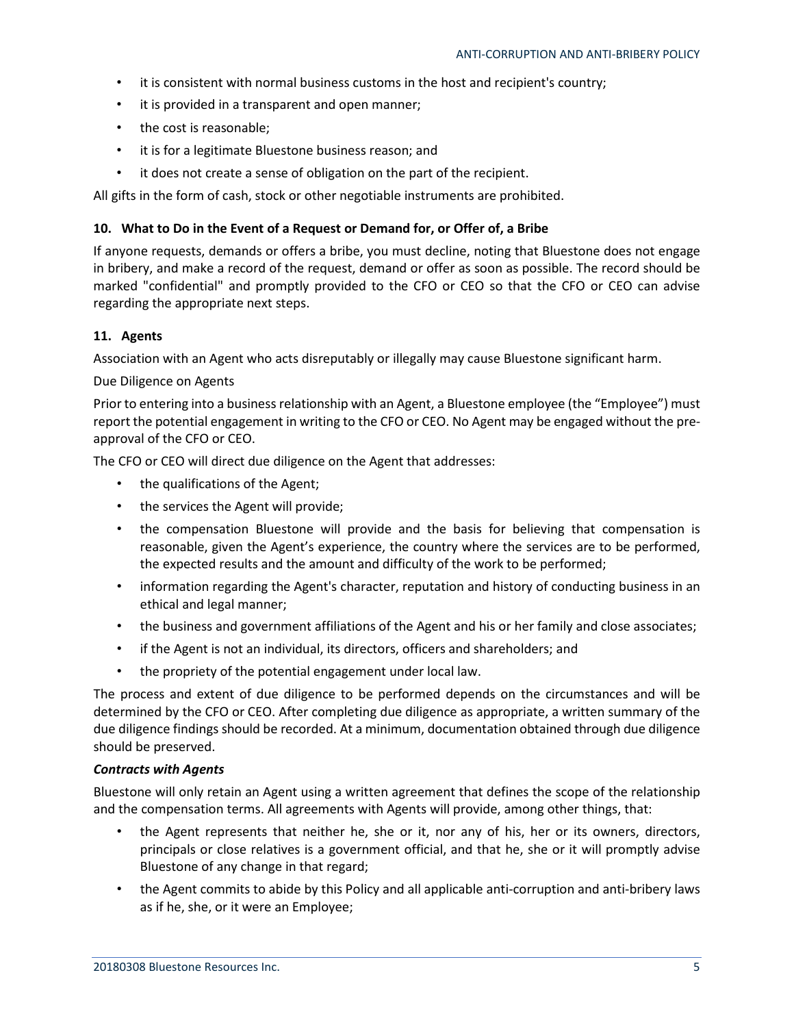- it is consistent with normal business customs in the host and recipient's country;
- it is provided in a transparent and open manner;
- the cost is reasonable;
- it is for a legitimate Bluestone business reason; and
- it does not create a sense of obligation on the part of the recipient.

All gifts in the form of cash, stock or other negotiable instruments are prohibited.

### **10. What to Do in the Event of a Request or Demand for, or Offer of, a Bribe**

If anyone requests, demands or offers a bribe, you must decline, noting that Bluestone does not engage in bribery, and make a record of the request, demand or offer as soon as possible. The record should be marked "confidential" and promptly provided to the CFO or CEO so that the CFO or CEO can advise regarding the appropriate next steps.

## **11. Agents**

Association with an Agent who acts disreputably or illegally may cause Bluestone significant harm.

#### Due Diligence on Agents

Prior to entering into a business relationship with an Agent, a Bluestone employee (the "Employee") must report the potential engagement in writing to the CFO or CEO. No Agent may be engaged without the preapproval of the CFO or CEO.

The CFO or CEO will direct due diligence on the Agent that addresses:

- the qualifications of the Agent;
- the services the Agent will provide;
- the compensation Bluestone will provide and the basis for believing that compensation is reasonable, given the Agent's experience, the country where the services are to be performed, the expected results and the amount and difficulty of the work to be performed;
- information regarding the Agent's character, reputation and history of conducting business in an ethical and legal manner;
- the business and government affiliations of the Agent and his or her family and close associates;
- if the Agent is not an individual, its directors, officers and shareholders; and
- the propriety of the potential engagement under local law.

The process and extent of due diligence to be performed depends on the circumstances and will be determined by the CFO or CEO. After completing due diligence as appropriate, a written summary of the due diligence findings should be recorded. At a minimum, documentation obtained through due diligence should be preserved.

### *Contracts with Agents*

Bluestone will only retain an Agent using a written agreement that defines the scope of the relationship and the compensation terms. All agreements with Agents will provide, among other things, that:

- the Agent represents that neither he, she or it, nor any of his, her or its owners, directors, principals or close relatives is a government official, and that he, she or it will promptly advise Bluestone of any change in that regard;
- the Agent commits to abide by this Policy and all applicable anti-corruption and anti-bribery laws as if he, she, or it were an Employee;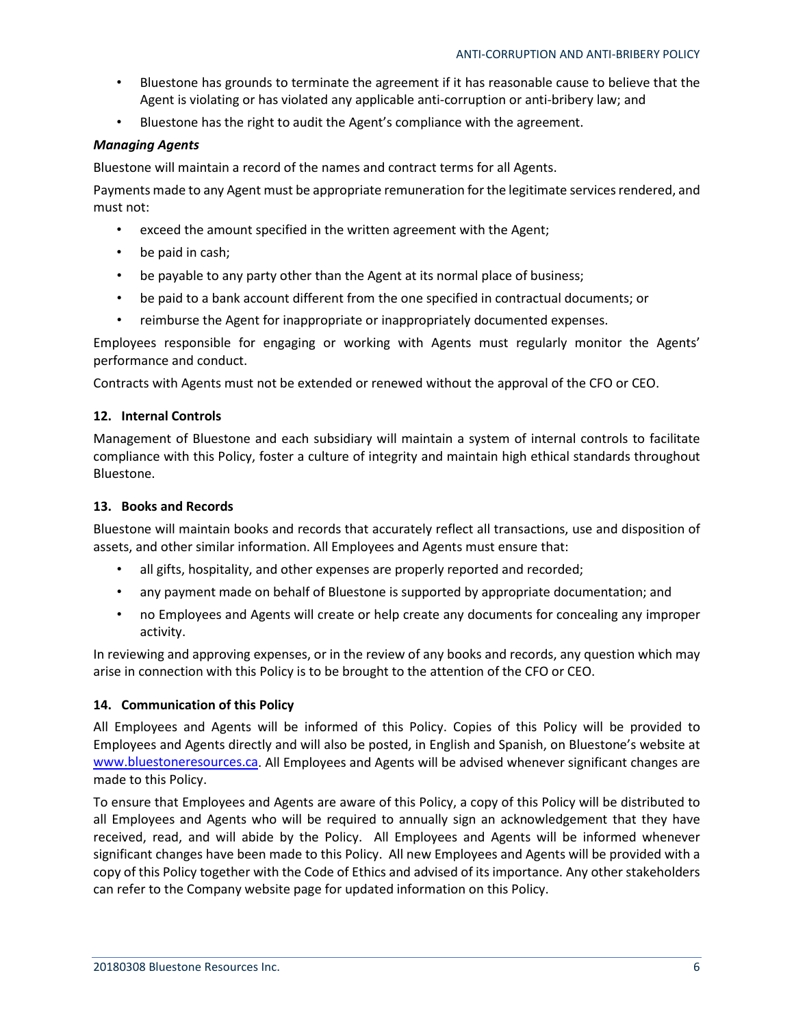- Bluestone has grounds to terminate the agreement if it has reasonable cause to believe that the Agent is violating or has violated any applicable anti-corruption or anti-bribery law; and
- Bluestone has the right to audit the Agent's compliance with the agreement.

## *Managing Agents*

Bluestone will maintain a record of the names and contract terms for all Agents.

Payments made to any Agent must be appropriate remuneration for the legitimate services rendered, and must not:

- exceed the amount specified in the written agreement with the Agent;
- be paid in cash;
- be payable to any party other than the Agent at its normal place of business;
- be paid to a bank account different from the one specified in contractual documents; or
- reimburse the Agent for inappropriate or inappropriately documented expenses.

Employees responsible for engaging or working with Agents must regularly monitor the Agents' performance and conduct.

Contracts with Agents must not be extended or renewed without the approval of the CFO or CEO.

## **12. Internal Controls**

Management of Bluestone and each subsidiary will maintain a system of internal controls to facilitate compliance with this Policy, foster a culture of integrity and maintain high ethical standards throughout Bluestone.

### **13. Books and Records**

Bluestone will maintain books and records that accurately reflect all transactions, use and disposition of assets, and other similar information. All Employees and Agents must ensure that:

- all gifts, hospitality, and other expenses are properly reported and recorded;
- any payment made on behalf of Bluestone is supported by appropriate documentation; and
- no Employees and Agents will create or help create any documents for concealing any improper activity.

In reviewing and approving expenses, or in the review of any books and records, any question which may arise in connection with this Policy is to be brought to the attention of the CFO or CEO.

### **14. Communication of this Policy**

All Employees and Agents will be informed of this Policy. Copies of this Policy will be provided to Employees and Agents directly and will also be posted, in English and Spanish, on Bluestone's website at [www.bluestoneresources.ca.](http://www.bluestoneresources.ca/) All Employees and Agents will be advised whenever significant changes are made to this Policy.

To ensure that Employees and Agents are aware of this Policy, a copy of this Policy will be distributed to all Employees and Agents who will be required to annually sign an acknowledgement that they have received, read, and will abide by the Policy. All Employees and Agents will be informed whenever significant changes have been made to this Policy. All new Employees and Agents will be provided with a copy of this Policy together with the Code of Ethics and advised of its importance. Any other stakeholders can refer to the Company website page for updated information on this Policy.